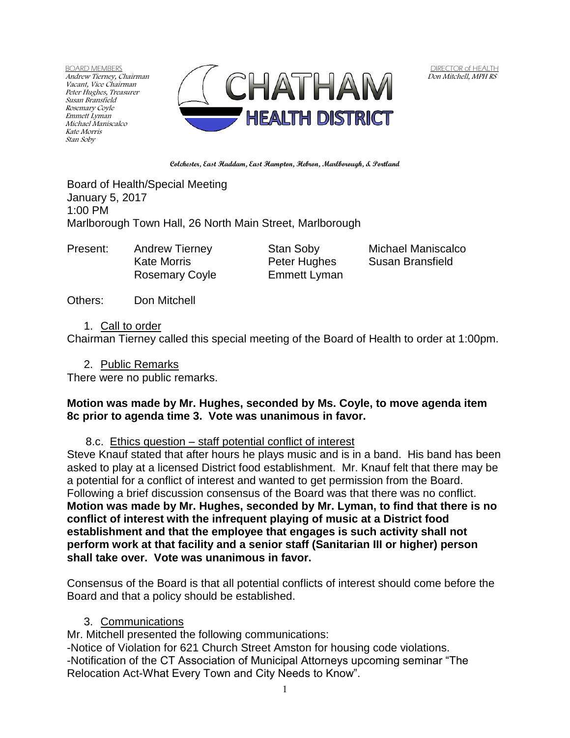BOARD MEMBERS Andrew Tierney, Chairman Vacant, Vice Chairman Peter Hughes, Treasurer Susan Bransfield Rosemary Coyle Emmett Lyman Michael Maniscalco Kate Morris Stan Soby



DIRECTOR of HEALTH Don Mitchell, MPH RS

**Colchester, East Haddam, East Hampton, Hebron, Marlborough, & Portland**

Board of Health/Special Meeting January 5, 2017 1:00 PM Marlborough Town Hall, 26 North Main Street, Marlborough

Present: Andrew Tierney Stan Soby Michael Maniscalco

Rosemary Coyle Emmett Lyman

Kate Morris **Peter Hughes** Susan Bransfield

Others: Don Mitchell

## 1. Call to order

Chairman Tierney called this special meeting of the Board of Health to order at 1:00pm.

2. Public Remarks

There were no public remarks.

# **Motion was made by Mr. Hughes, seconded by Ms. Coyle, to move agenda item 8c prior to agenda time 3. Vote was unanimous in favor.**

# 8.c. Ethics question – staff potential conflict of interest

Steve Knauf stated that after hours he plays music and is in a band. His band has been asked to play at a licensed District food establishment. Mr. Knauf felt that there may be a potential for a conflict of interest and wanted to get permission from the Board. Following a brief discussion consensus of the Board was that there was no conflict. **Motion was made by Mr. Hughes, seconded by Mr. Lyman, to find that there is no conflict of interest with the infrequent playing of music at a District food establishment and that the employee that engages is such activity shall not perform work at that facility and a senior staff (Sanitarian III or higher) person shall take over. Vote was unanimous in favor.** 

Consensus of the Board is that all potential conflicts of interest should come before the Board and that a policy should be established.

# 3. Communications

Mr. Mitchell presented the following communications:

-Notice of Violation for 621 Church Street Amston for housing code violations. -Notification of the CT Association of Municipal Attorneys upcoming seminar "The Relocation Act-What Every Town and City Needs to Know".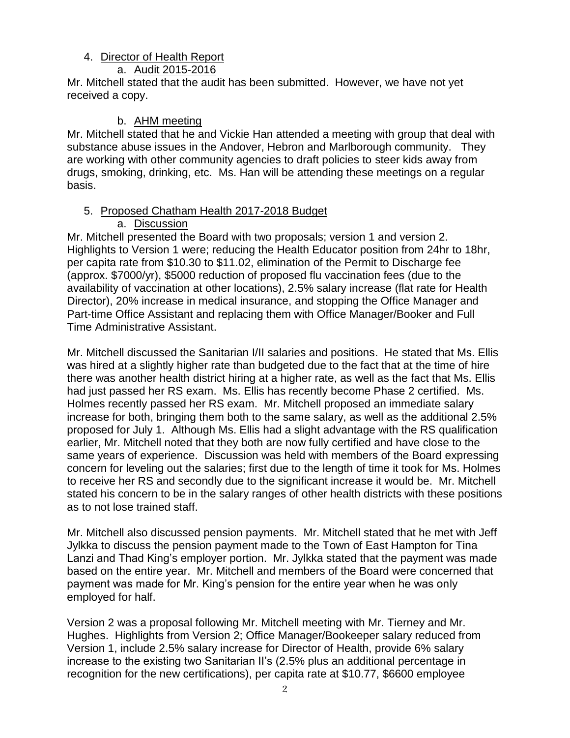## 4. Director of Health Report

## a. Audit 2015-2016

Mr. Mitchell stated that the audit has been submitted. However, we have not yet received a copy.

## b. AHM meeting

Mr. Mitchell stated that he and Vickie Han attended a meeting with group that deal with substance abuse issues in the Andover, Hebron and Marlborough community. They are working with other community agencies to draft policies to steer kids away from drugs, smoking, drinking, etc. Ms. Han will be attending these meetings on a regular basis.

# 5. Proposed Chatham Health 2017-2018 Budget

# a. Discussion

Mr. Mitchell presented the Board with two proposals; version 1 and version 2. Highlights to Version 1 were; reducing the Health Educator position from 24hr to 18hr, per capita rate from \$10.30 to \$11.02, elimination of the Permit to Discharge fee (approx. \$7000/yr), \$5000 reduction of proposed flu vaccination fees (due to the availability of vaccination at other locations), 2.5% salary increase (flat rate for Health Director), 20% increase in medical insurance, and stopping the Office Manager and Part-time Office Assistant and replacing them with Office Manager/Booker and Full Time Administrative Assistant.

Mr. Mitchell discussed the Sanitarian I/II salaries and positions. He stated that Ms. Ellis was hired at a slightly higher rate than budgeted due to the fact that at the time of hire there was another health district hiring at a higher rate, as well as the fact that Ms. Ellis had just passed her RS exam. Ms. Ellis has recently become Phase 2 certified. Ms. Holmes recently passed her RS exam. Mr. Mitchell proposed an immediate salary increase for both, bringing them both to the same salary, as well as the additional 2.5% proposed for July 1. Although Ms. Ellis had a slight advantage with the RS qualification earlier, Mr. Mitchell noted that they both are now fully certified and have close to the same years of experience. Discussion was held with members of the Board expressing concern for leveling out the salaries; first due to the length of time it took for Ms. Holmes to receive her RS and secondly due to the significant increase it would be. Mr. Mitchell stated his concern to be in the salary ranges of other health districts with these positions as to not lose trained staff.

Mr. Mitchell also discussed pension payments. Mr. Mitchell stated that he met with Jeff Jylkka to discuss the pension payment made to the Town of East Hampton for Tina Lanzi and Thad King's employer portion. Mr. Jylkka stated that the payment was made based on the entire year. Mr. Mitchell and members of the Board were concerned that payment was made for Mr. King's pension for the entire year when he was only employed for half.

Version 2 was a proposal following Mr. Mitchell meeting with Mr. Tierney and Mr. Hughes. Highlights from Version 2; Office Manager/Bookeeper salary reduced from Version 1, include 2.5% salary increase for Director of Health, provide 6% salary increase to the existing two Sanitarian II's (2.5% plus an additional percentage in recognition for the new certifications), per capita rate at \$10.77, \$6600 employee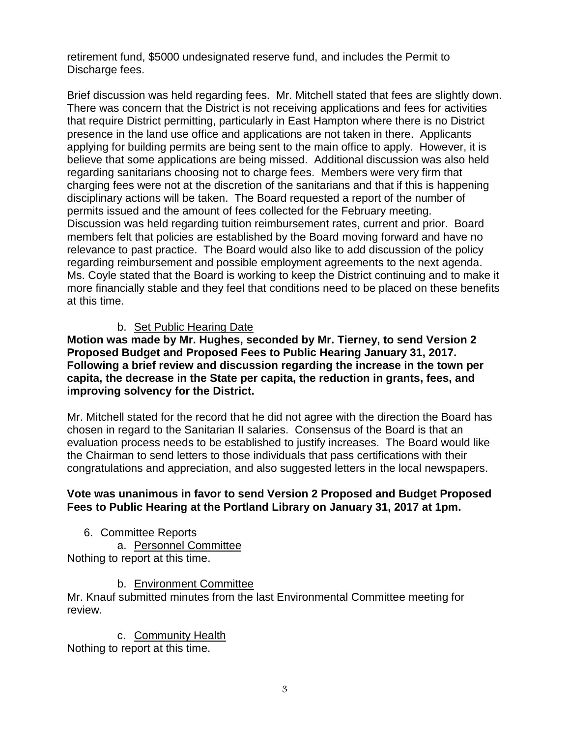retirement fund, \$5000 undesignated reserve fund, and includes the Permit to Discharge fees.

Brief discussion was held regarding fees. Mr. Mitchell stated that fees are slightly down. There was concern that the District is not receiving applications and fees for activities that require District permitting, particularly in East Hampton where there is no District presence in the land use office and applications are not taken in there. Applicants applying for building permits are being sent to the main office to apply. However, it is believe that some applications are being missed. Additional discussion was also held regarding sanitarians choosing not to charge fees. Members were very firm that charging fees were not at the discretion of the sanitarians and that if this is happening disciplinary actions will be taken. The Board requested a report of the number of permits issued and the amount of fees collected for the February meeting. Discussion was held regarding tuition reimbursement rates, current and prior. Board members felt that policies are established by the Board moving forward and have no relevance to past practice. The Board would also like to add discussion of the policy regarding reimbursement and possible employment agreements to the next agenda. Ms. Coyle stated that the Board is working to keep the District continuing and to make it more financially stable and they feel that conditions need to be placed on these benefits at this time.

# b. Set Public Hearing Date

**Motion was made by Mr. Hughes, seconded by Mr. Tierney, to send Version 2 Proposed Budget and Proposed Fees to Public Hearing January 31, 2017. Following a brief review and discussion regarding the increase in the town per capita, the decrease in the State per capita, the reduction in grants, fees, and improving solvency for the District.** 

Mr. Mitchell stated for the record that he did not agree with the direction the Board has chosen in regard to the Sanitarian II salaries. Consensus of the Board is that an evaluation process needs to be established to justify increases. The Board would like the Chairman to send letters to those individuals that pass certifications with their congratulations and appreciation, and also suggested letters in the local newspapers.

# **Vote was unanimous in favor to send Version 2 Proposed and Budget Proposed Fees to Public Hearing at the Portland Library on January 31, 2017 at 1pm.**

6. Committee Reports a. Personnel Committee

Nothing to report at this time.

b. Environment Committee

Mr. Knauf submitted minutes from the last Environmental Committee meeting for review.

c. Community Health Nothing to report at this time.